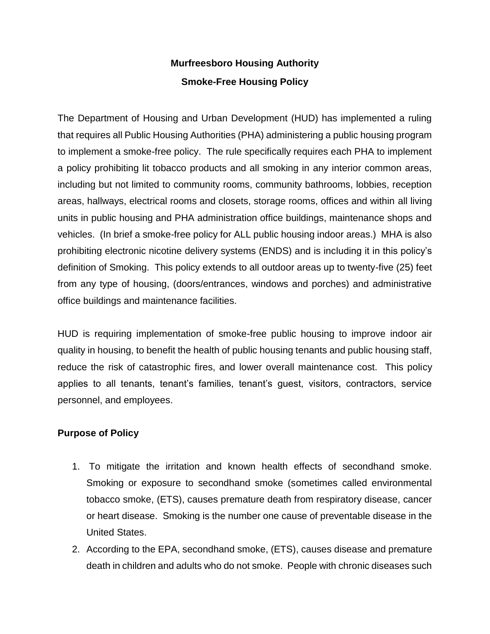# **Murfreesboro Housing Authority Smoke-Free Housing Policy**

The Department of Housing and Urban Development (HUD) has implemented a ruling that requires all Public Housing Authorities (PHA) administering a public housing program to implement a smoke-free policy. The rule specifically requires each PHA to implement a policy prohibiting lit tobacco products and all smoking in any interior common areas, including but not limited to community rooms, community bathrooms, lobbies, reception areas, hallways, electrical rooms and closets, storage rooms, offices and within all living units in public housing and PHA administration office buildings, maintenance shops and vehicles. (In brief a smoke-free policy for ALL public housing indoor areas.) MHA is also prohibiting electronic nicotine delivery systems (ENDS) and is including it in this policy's definition of Smoking. This policy extends to all outdoor areas up to twenty-five (25) feet from any type of housing, (doors/entrances, windows and porches) and administrative office buildings and maintenance facilities.

HUD is requiring implementation of smoke-free public housing to improve indoor air quality in housing, to benefit the health of public housing tenants and public housing staff, reduce the risk of catastrophic fires, and lower overall maintenance cost. This policy applies to all tenants, tenant's families, tenant's guest, visitors, contractors, service personnel, and employees.

## **Purpose of Policy**

- 1. To mitigate the irritation and known health effects of secondhand smoke. Smoking or exposure to secondhand smoke (sometimes called environmental tobacco smoke, (ETS), causes premature death from respiratory disease, cancer or heart disease. Smoking is the number one cause of preventable disease in the United States.
- 2. According to the EPA, secondhand smoke, (ETS), causes disease and premature death in children and adults who do not smoke. People with chronic diseases such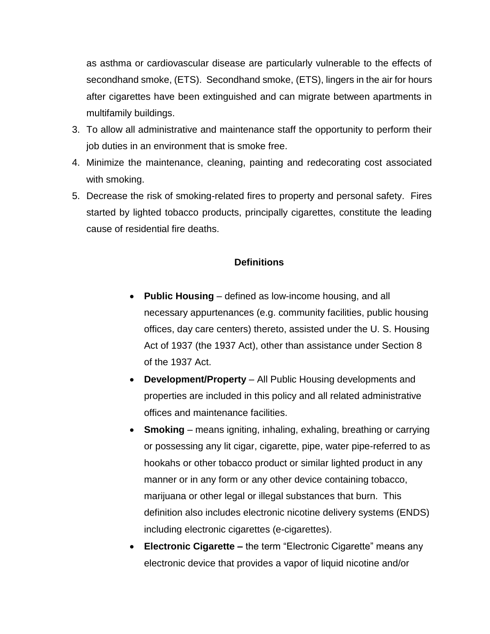as asthma or cardiovascular disease are particularly vulnerable to the effects of secondhand smoke, (ETS). Secondhand smoke, (ETS), lingers in the air for hours after cigarettes have been extinguished and can migrate between apartments in multifamily buildings.

- 3. To allow all administrative and maintenance staff the opportunity to perform their job duties in an environment that is smoke free.
- 4. Minimize the maintenance, cleaning, painting and redecorating cost associated with smoking.
- 5. Decrease the risk of smoking-related fires to property and personal safety. Fires started by lighted tobacco products, principally cigarettes, constitute the leading cause of residential fire deaths.

#### **Definitions**

- **Public Housing** defined as low-income housing, and all necessary appurtenances (e.g. community facilities, public housing offices, day care centers) thereto, assisted under the U. S. Housing Act of 1937 (the 1937 Act), other than assistance under Section 8 of the 1937 Act.
- **Development/Property** All Public Housing developments and properties are included in this policy and all related administrative offices and maintenance facilities.
- **Smoking** means igniting, inhaling, exhaling, breathing or carrying or possessing any lit cigar, cigarette, pipe, water pipe-referred to as hookahs or other tobacco product or similar lighted product in any manner or in any form or any other device containing tobacco, marijuana or other legal or illegal substances that burn. This definition also includes electronic nicotine delivery systems (ENDS) including electronic cigarettes (e-cigarettes).
- **Electronic Cigarette –** the term "Electronic Cigarette" means any electronic device that provides a vapor of liquid nicotine and/or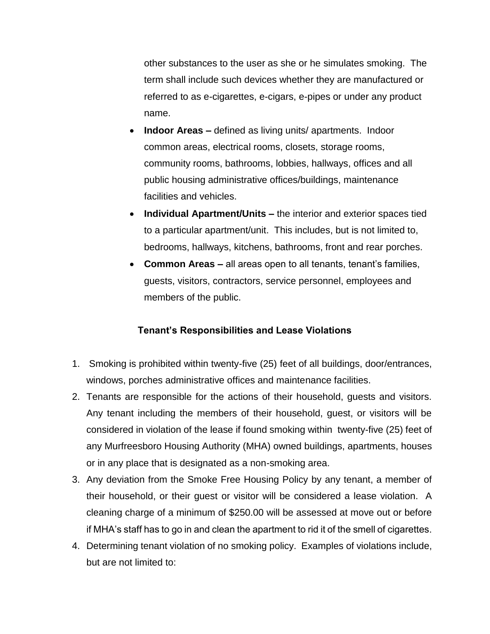other substances to the user as she or he simulates smoking. The term shall include such devices whether they are manufactured or referred to as e-cigarettes, e-cigars, e-pipes or under any product name.

- **Indoor Areas –** defined as living units/ apartments. Indoor common areas, electrical rooms, closets, storage rooms, community rooms, bathrooms, lobbies, hallways, offices and all public housing administrative offices/buildings, maintenance facilities and vehicles.
- **Individual Apartment/Units –** the interior and exterior spaces tied to a particular apartment/unit. This includes, but is not limited to, bedrooms, hallways, kitchens, bathrooms, front and rear porches.
- **Common Areas –** all areas open to all tenants, tenant's families, guests, visitors, contractors, service personnel, employees and members of the public.

## **Tenant's Responsibilities and Lease Violations**

- 1. Smoking is prohibited within twenty-five (25) feet of all buildings, door/entrances, windows, porches administrative offices and maintenance facilities.
- 2. Tenants are responsible for the actions of their household, guests and visitors. Any tenant including the members of their household, guest, or visitors will be considered in violation of the lease if found smoking within twenty-five (25) feet of any Murfreesboro Housing Authority (MHA) owned buildings, apartments, houses or in any place that is designated as a non-smoking area.
- 3. Any deviation from the Smoke Free Housing Policy by any tenant, a member of their household, or their guest or visitor will be considered a lease violation. A cleaning charge of a minimum of \$250.00 will be assessed at move out or before if MHA's staff has to go in and clean the apartment to rid it of the smell of cigarettes.
- 4. Determining tenant violation of no smoking policy. Examples of violations include, but are not limited to: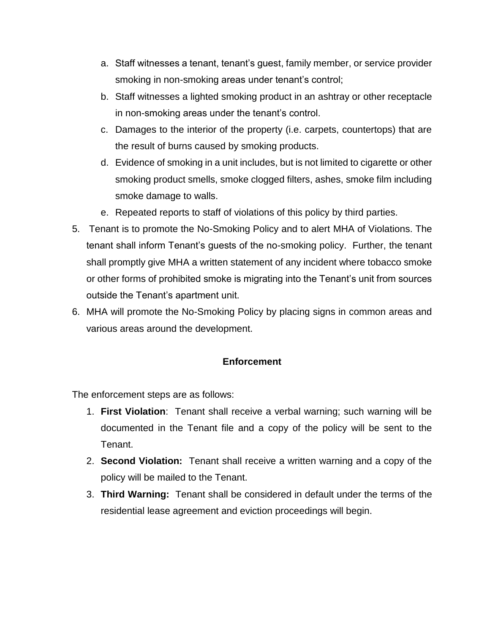- a. Staff witnesses a tenant, tenant's guest, family member, or service provider smoking in non-smoking areas under tenant's control;
- b. Staff witnesses a lighted smoking product in an ashtray or other receptacle in non-smoking areas under the tenant's control.
- c. Damages to the interior of the property (i.e. carpets, countertops) that are the result of burns caused by smoking products.
- d. Evidence of smoking in a unit includes, but is not limited to cigarette or other smoking product smells, smoke clogged filters, ashes, smoke film including smoke damage to walls.
- e. Repeated reports to staff of violations of this policy by third parties.
- 5. Tenant is to promote the No-Smoking Policy and to alert MHA of Violations. The tenant shall inform Tenant's guests of the no-smoking policy. Further, the tenant shall promptly give MHA a written statement of any incident where tobacco smoke or other forms of prohibited smoke is migrating into the Tenant's unit from sources outside the Tenant's apartment unit.
- 6. MHA will promote the No-Smoking Policy by placing signs in common areas and various areas around the development.

## **Enforcement**

The enforcement steps are as follows:

- 1. **First Violation**: Tenant shall receive a verbal warning; such warning will be documented in the Tenant file and a copy of the policy will be sent to the Tenant.
- 2. **Second Violation:** Tenant shall receive a written warning and a copy of the policy will be mailed to the Tenant.
- 3. **Third Warning:** Tenant shall be considered in default under the terms of the residential lease agreement and eviction proceedings will begin.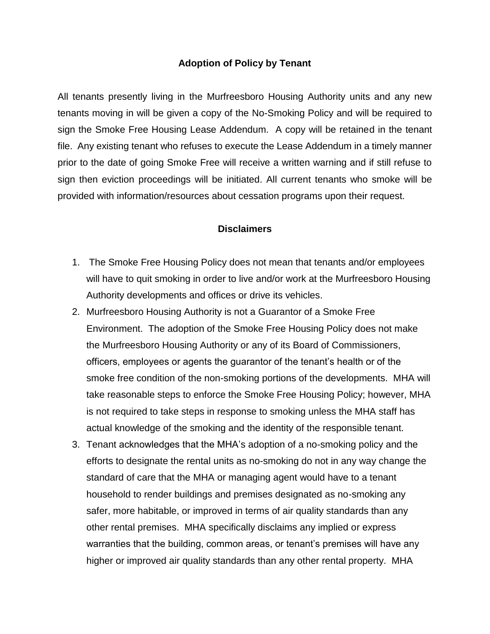#### **Adoption of Policy by Tenant**

All tenants presently living in the Murfreesboro Housing Authority units and any new tenants moving in will be given a copy of the No-Smoking Policy and will be required to sign the Smoke Free Housing Lease Addendum. A copy will be retained in the tenant file. Any existing tenant who refuses to execute the Lease Addendum in a timely manner prior to the date of going Smoke Free will receive a written warning and if still refuse to sign then eviction proceedings will be initiated. All current tenants who smoke will be provided with information/resources about cessation programs upon their request.

#### **Disclaimers**

- 1. The Smoke Free Housing Policy does not mean that tenants and/or employees will have to quit smoking in order to live and/or work at the Murfreesboro Housing Authority developments and offices or drive its vehicles.
- 2. Murfreesboro Housing Authority is not a Guarantor of a Smoke Free Environment. The adoption of the Smoke Free Housing Policy does not make the Murfreesboro Housing Authority or any of its Board of Commissioners, officers, employees or agents the guarantor of the tenant's health or of the smoke free condition of the non-smoking portions of the developments. MHA will take reasonable steps to enforce the Smoke Free Housing Policy; however, MHA is not required to take steps in response to smoking unless the MHA staff has actual knowledge of the smoking and the identity of the responsible tenant.
- 3. Tenant acknowledges that the MHA's adoption of a no-smoking policy and the efforts to designate the rental units as no-smoking do not in any way change the standard of care that the MHA or managing agent would have to a tenant household to render buildings and premises designated as no-smoking any safer, more habitable, or improved in terms of air quality standards than any other rental premises. MHA specifically disclaims any implied or express warranties that the building, common areas, or tenant's premises will have any higher or improved air quality standards than any other rental property. MHA